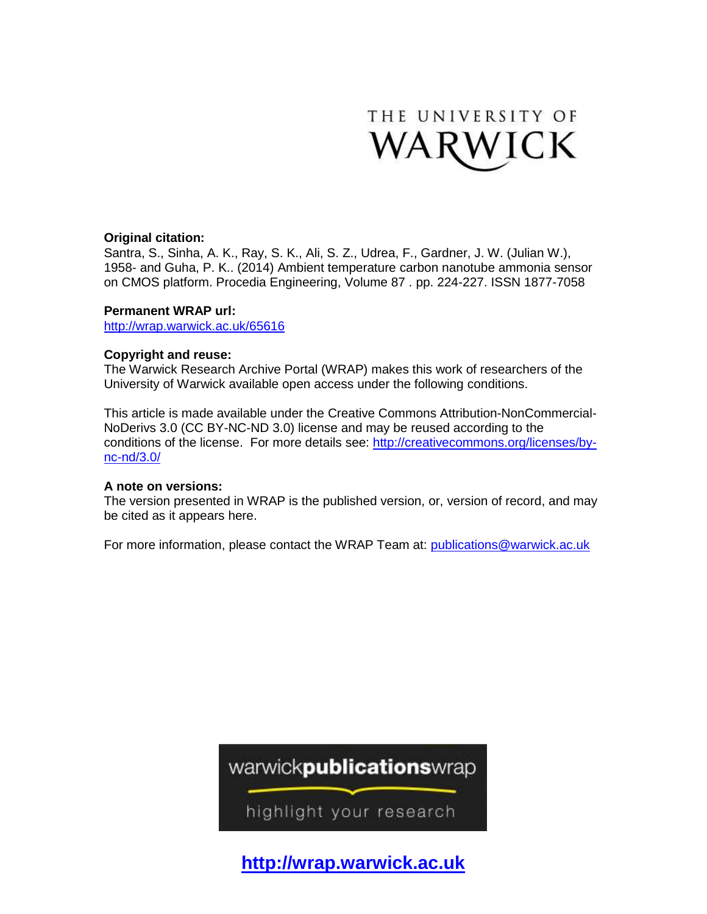

## **Original citation:**

Santra, S., Sinha, A. K., Ray, S. K., Ali, S. Z., Udrea, F., Gardner, J. W. (Julian W.), 1958- and Guha, P. K.. (2014) Ambient temperature carbon nanotube ammonia sensor on CMOS platform. Procedia Engineering, Volume 87 . pp. 224-227. ISSN 1877-7058

## **Permanent WRAP url:**

<http://wrap.warwick.ac.uk/65616>

## **Copyright and reuse:**

The Warwick Research Archive Portal (WRAP) makes this work of researchers of the University of Warwick available open access under the following conditions.

This article is made available under the Creative Commons Attribution-NonCommercial-NoDerivs 3.0 (CC BY-NC-ND 3.0) license and may be reused according to the conditions of the license. For more details see: [http://creativecommons.org/licenses/by](http://creativecommons.org/licenses/by-nc-nd/3.0/)[nc-nd/3.0/](http://creativecommons.org/licenses/by-nc-nd/3.0/) 

## **A note on versions:**

The version presented in WRAP is the published version, or, version of record, and may be cited as it appears here.

For more information, please contact the WRAP Team at: [publications@warwick.ac.uk](mailto:publications@warwick.ac.uk)



highlight your research

**[http://wrap.warwick.ac.uk](http://wrap.warwick.ac.uk/)**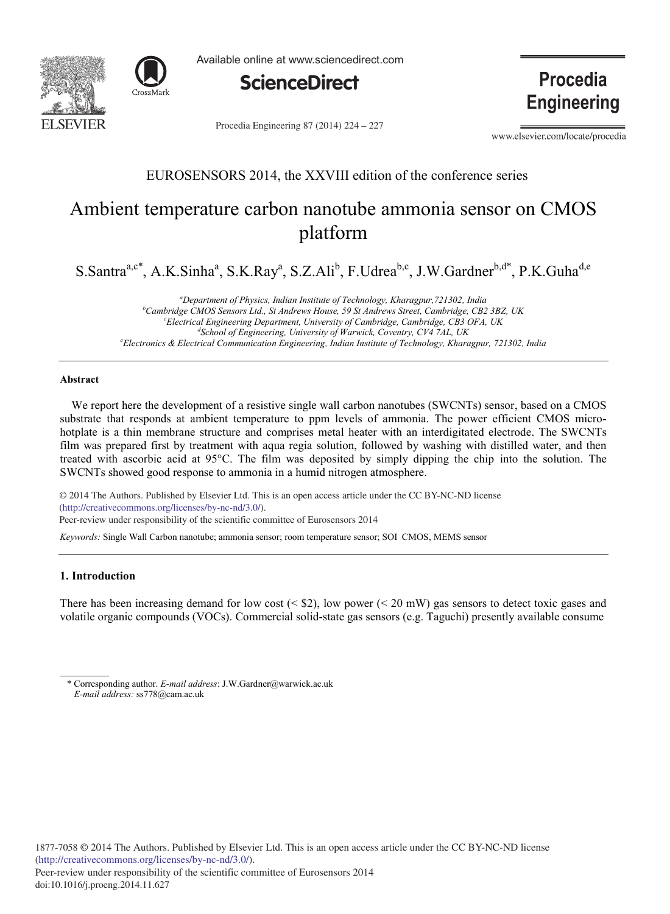



Available online at www.sciencedirect.com



Procedia Engineering 87 (2014) 224 - 227

**Procedia Engineering** 

www.elsevier.com/locate/procedia

## EUROSENSORS 2014, the XXVIII edition of the conference series

## Ambient temperature carbon nanotube ammonia sensor on CMOS platform

S.Santra<sup>a,c\*</sup>, A.K.Sinha<sup>a</sup>, S.K.Ray<sup>a</sup>, S.Z.Ali<sup>b</sup>, F.Udrea<sup>b,c</sup>, J.W.Gardner<sup>b,d\*</sup>, P.K.Guha<sup>d,e</sup>

*a Department of Physics, Indian Institute of Technology, Kharagpur,721302, India b Cambridge CMOS Sensors Ltd., St Andrews House, 59 St Andrews Street, Cambridge, CB2 3BZ, UK c Electrical Engineering Department, University of Cambridge, Cambridge, CB3 OFA, UK d School of Engineering, University of Warwick, Coventry, CV4 7AL, UK e Electronics & Electrical Communication Engineering, Indian Institute of Technology, Kharagpur, 721302, India*

#### **Abstract**

We report here the development of a resistive single wall carbon nanotubes (SWCNTs) sensor, based on a CMOS substrate that responds at ambient temperature to ppm levels of ammonia. The power efficient CMOS microhotplate is a thin membrane structure and comprises metal heater with an interdigitated electrode. The SWCNTs film was prepared first by treatment with aqua regia solution, followed by washing with distilled water, and then treated with ascorbic acid at 95°C. The film was deposited by simply dipping the chip into the solution. The SWCNTs showed good response to ammonia in a humid nitrogen atmosphere.

© 2014 The Authors. Published by Elsevier Ltd. © 2014 The Authors. Published by Elsevier Ltd. This is an open access article under the CC BY-NC-ND license (http://creativecommons.org/licenses/by-nc-nd/3.0/). Peer-review under responsibility of the scientific committee of Eurosensors 2014

*Keywords:* Single Wall Carbon nanotube; ammonia sensor; room temperature sensor; SOI CMOS, MEMS sensor

#### **1. Introduction**

There has been increasing demand for low cost ( $\leq$  \$2), low power ( $\leq$  20 mW) gas sensors to detect toxic gases and volatile organic compounds (VOCs). Commercial solid-state gas sensors (e.g. Taguchi) presently available consume

<sup>\*</sup> Corresponding author. *E-mail address*: J.W.Gardner@warwick.ac.uk  *E-mail address:* ss778@cam.ac.uk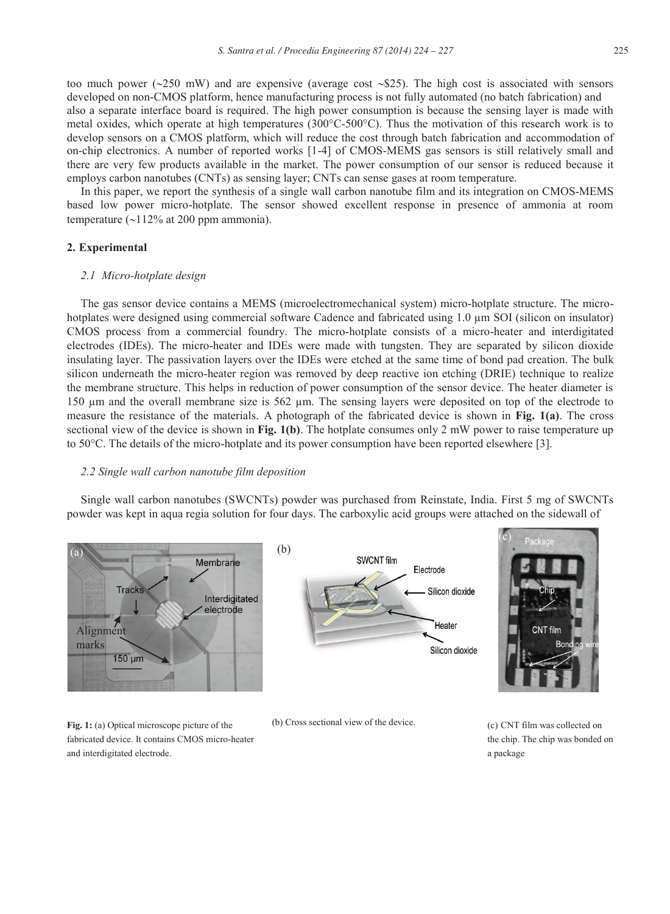too much power ( $\approx$ 250 mW) and are expensive (average cost  $\approx$  \$25). The high cost is associated with sensors developed on non-CMOS platform, hence manufacturing process is not fully automated (no batch fabrication) and also a separate interface board is required. The high power consumption is because the sensing layer is made with metal oxides, which operate at high temperatures (300°C-500°C). Thus the motivation of this research work is to develop sensors on a CMOS platform, which will reduce the cost through batch fabrication and accommodation of on-chip electronics. A number of reported works [1-4] of CMOS-MEMS gas sensors is still relatively small and there are very few products available in the market. The power consumption of our sensor is reduced because it employs carbon nanotubes (CNTs) as sensing layer; CNTs can sense gases at room temperature.

In this paper, we report the synthesis of a single wall carbon nanotube film and its integration on CMOS-MEMS based low power micro-hotplate. The sensor showed excellent response in presence of ammonia at room temperature  $(\sim 112\%$  at 200 ppm ammonia).

#### **2. Experimental**

#### *2.1 Micro-hotplate design*

The gas sensor device contains a MEMS (microelectromechanical system) micro-hotplate structure. The microhotplates were designed using commercial software Cadence and fabricated using 1.0 μm SOI (silicon on insulator) CMOS process from a commercial foundry. The micro-hotplate consists of a micro-heater and interdigitated electrodes (IDEs). The micro-heater and IDEs were made with tungsten. They are separated by silicon dioxide insulating layer. The passivation layers over the IDEs were etched at the same time of bond pad creation. The bulk silicon underneath the micro-heater region was removed by deep reactive ion etching (DRIE) technique to realize the membrane structure. This helps in reduction of power consumption of the sensor device. The heater diameter is 150 μm and the overall membrane size is 562 μm. The sensing layers were deposited on top of the electrode to measure the resistance of the materials. A photograph of the fabricated device is shown in **Fig. 1(a)**. The cross sectional view of the device is shown in **Fig. 1(b)**. The hotplate consumes only 2 mW power to raise temperature up to 50°C. The details of the micro-hotplate and its power consumption have been reported elsewhere [3].

#### *2.2 Single wall carbon nanotube film deposition*

Single wall carbon nanotubes (SWCNTs) powder was purchased from Reinstate, India. First 5 mg of SWCNTs powder was kept in aqua regia solution for four days. The carboxylic acid groups were attached on the sidewall of



**Fig. 1:** (a) Optical microscope picture of the fabricated device. It contains CMOS micro-heater and interdigitated electrode.



(b) Cross sectional view of the device. (c) CNT film was collected on



the chip. The chip was bonded on a package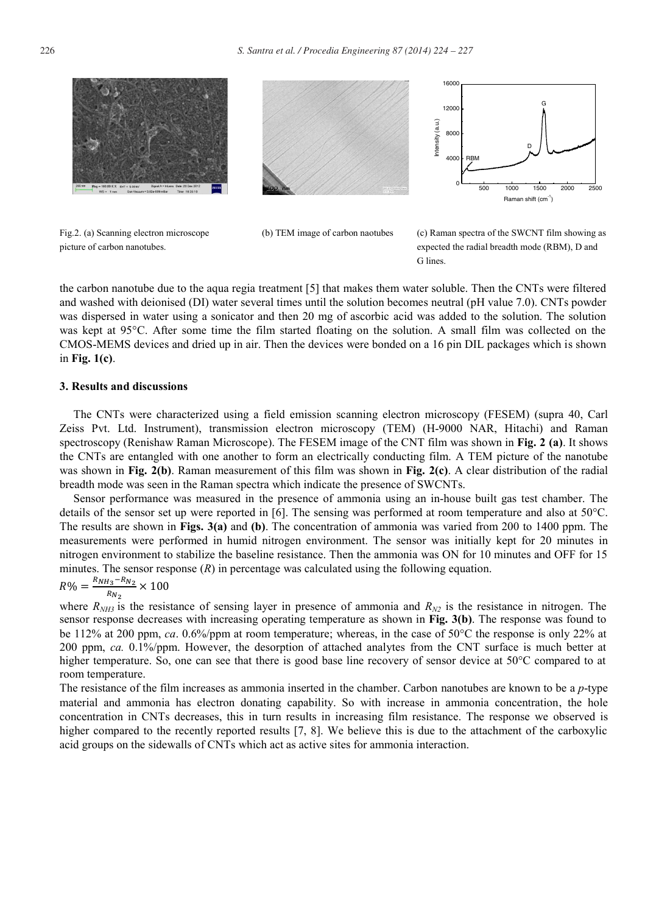

Fig.2. (a) Scanning electron microscope

picture of carbon nanotubes.







 (b) TEM image of carbon naotubes (c) Raman spectra of the SWCNT film showing as expected the radial breadth mode (RBM), D and G lines.

the carbon nanotube due to the aqua regia treatment [5] that makes them water soluble. Then the CNTs were filtered and washed with deionised (DI) water several times until the solution becomes neutral (pH value 7.0). CNTs powder was dispersed in water using a sonicator and then 20 mg of ascorbic acid was added to the solution. The solution was kept at 95°C. After some time the film started floating on the solution. A small film was collected on the CMOS-MEMS devices and dried up in air. Then the devices were bonded on a 16 pin DIL packages which is shown in **Fig. 1(c)**.

#### **3. Results and discussions**

The CNTs were characterized using a field emission scanning electron microscopy (FESEM) (supra 40, Carl Zeiss Pvt. Ltd. Instrument), transmission electron microscopy (TEM) (H-9000 NAR, Hitachi) and Raman spectroscopy (Renishaw Raman Microscope). The FESEM image of the CNT film was shown in **Fig. 2 (a)**. It shows the CNTs are entangled with one another to form an electrically conducting film. A TEM picture of the nanotube was shown in **Fig. 2(b)**. Raman measurement of this film was shown in **Fig. 2(c)**. A clear distribution of the radial breadth mode was seen in the Raman spectra which indicate the presence of SWCNTs.

Sensor performance was measured in the presence of ammonia using an in-house built gas test chamber. The details of the sensor set up were reported in [6]. The sensing was performed at room temperature and also at  $50^{\circ}$ C. The results are shown in **Figs. 3(a)** and **(b)**. The concentration of ammonia was varied from 200 to 1400 ppm. The measurements were performed in humid nitrogen environment. The sensor was initially kept for 20 minutes in nitrogen environment to stabilize the baseline resistance. Then the ammonia was ON for 10 minutes and OFF for 15 minutes. The sensor response  $(R)$  in percentage was calculated using the following equation.

# $R\% = \frac{R_{NH_3} - R_{N_2}}{R_{N_2}} \times 100$

where  $R_{NH3}$  is the resistance of sensing layer in presence of ammonia and  $R_{N2}$  is the resistance in nitrogen. The sensor response decreases with increasing operating temperature as shown in **Fig. 3(b)**. The response was found to be 112% at 200 ppm, *ca*. 0.6%/ppm at room temperature; whereas, in the case of 50°C the response is only 22% at 200 ppm, *ca.* 0.1%/ppm. However, the desorption of attached analytes from the CNT surface is much better at higher temperature. So, one can see that there is good base line recovery of sensor device at 50°C compared to at room temperature.

The resistance of the film increases as ammonia inserted in the chamber. Carbon nanotubes are known to be a *p*-type material and ammonia has electron donating capability. So with increase in ammonia concentration, the hole concentration in CNTs decreases, this in turn results in increasing film resistance. The response we observed is higher compared to the recently reported results [7, 8]. We believe this is due to the attachment of the carboxylic acid groups on the sidewalls of CNTs which act as active sites for ammonia interaction.